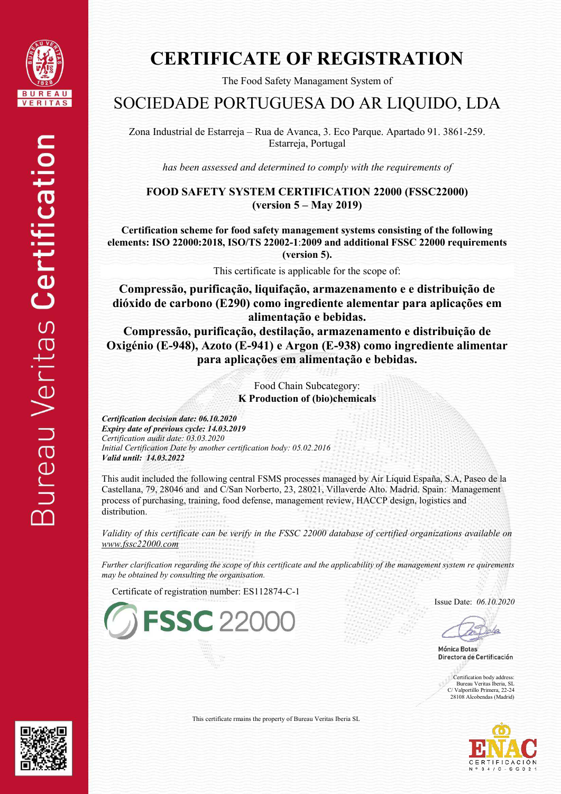

The Food Safety Managament System of

### SOCIEDADE PORTUGUESA DO AR LIQUIDO, LDA

Zona Industrial de Estarreja – Rua de Avanca, 3. Eco Parque. Apartado 91. 3861-259. Estarreja, Portugal

*has been assessed and determined to comply with the requirements of* 

**FOOD SAFETY SYSTEM CERTIFICATION 22000 (FSSC22000) (version 5 – May 2019)** 

**Certification scheme for food safety management systems consisting of the following elements: ISO 22000:2018, ISO/TS 22002-1**:**2009 and additional FSSC 22000 requirements (version 5).**

This certificate is applicable for the scope of:

**Compressão, purificação, liquifação, armazenamento e e distribuição de dióxido de carbono (E290) como ingrediente alementar para aplicações em alimentação e bebidas.** 

**Compressão, purificação, destilação, armazenamento e distribuição de Oxigénio (E-948), Azoto (E-941) e Argon (E-938) como ingrediente alimentar para aplicações em alimentação e bebidas.** 

> Food Chain Subcategory: **K Production of (bio)chemicals**

*Certification decision date: 06.10.2020 Expiry date of previous cycle: 14.03.2019 Certification audit date: 03.03.2020 Initial Certification Date by another certification body: 05.02.2016 Valid until: 14.03.2022*

This audit included the following central FSMS processes managed by Air Liquid España, S.A, Paseo de la Castellana, 79, 28046 and and C/San Norberto, 23, 28021, Villaverde Alto. Madrid. Spain: Management process of purchasing, training, food defense, management review, HACCP design, logistics and distribution.

*Validity of this certificate can be verify in the FSSC 22000 database of certified organizations available on [www.fssc22000.com](http://www.fssc22000.com/)* 

*Further clarification regarding the scope of this certificate and the applicability of the management system re quirements may be obtained by consulting the organisation.* 

Certificate of registration number: ES112874-C-1



Issue Date: *06.10.2020*

Mónica Botas Directora de Certificación

Certification body address Bureau Veritas Iberia, SL C/ Valportillo Primera, 22-24 28108 Alcobendas (Madrid)





This certificate rmains the property of Bureau Veritas Iberia SL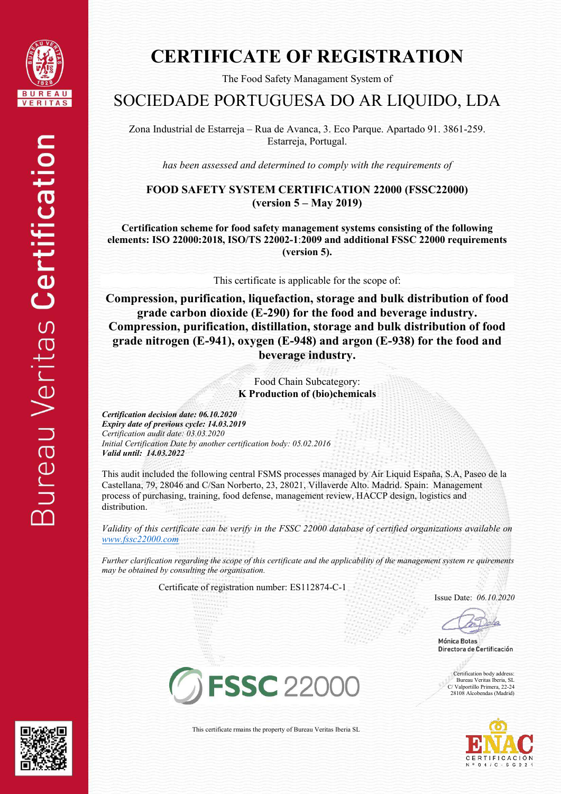

The Food Safety Managament System of

### SOCIEDADE PORTUGUESA DO AR LIQUIDO, LDA

Zona Industrial de Estarreja – Rua de Avanca, 3. Eco Parque. Apartado 91. 3861-259. Estarreja, Portugal.

*has been assessed and determined to comply with the requirements of* 

#### **FOOD SAFETY SYSTEM CERTIFICATION 22000 (FSSC22000) (version 5 – May 2019)**

**Certification scheme for food safety management systems consisting of the following elements: ISO 22000:2018, ISO/TS 22002-1**:**2009 and additional FSSC 22000 requirements (version 5).**

This certificate is applicable for the scope of:

**Compression, purification, liquefaction, storage and bulk distribution of food grade carbon dioxide (E-290) for the food and beverage industry. Compression, purification, distillation, storage and bulk distribution of food grade nitrogen (E-941), oxygen (E-948) and argon (E-938) for the food and beverage industry.** 

> Food Chain Subcategory: **K Production of (bio)chemicals**

*Certification decision date: 06.10.2020 Expiry date of previous cycle: 14.03.2019 Certification audit date: 03.03.2020 Initial Certification Date by another certification body: 05.02.2016 Valid until: 14.03.2022*

This audit included the following central FSMS processes managed by Air Liquid España, S.A, Paseo de la Castellana, 79, 28046 and C/San Norberto, 23, 28021, Villaverde Alto. Madrid. Spain: Management process of purchasing, training, food defense, management review, HACCP design, logistics and distribution.

*Validity of this certificate can be verify in the FSSC 22000 database of certified organizations available on [www.fssc22000.com](http://www.fssc22000.com/)* 

*Further clarification regarding the scope of this certificate and the applicability of the management system re quirements may be obtained by consulting the organisation.* 

Certificate of registration number: ES112874-C-1

Issue Date: *06.10.2020* 

Mónica Botas Directora de Certificación

Certification body address: Bureau Veritas Iberia, SL C/ Valportillo Primera, 22-24 28108 Alcobendas (Madrid)





This certificate rmains the property of Bureau Veritas Iberia SL

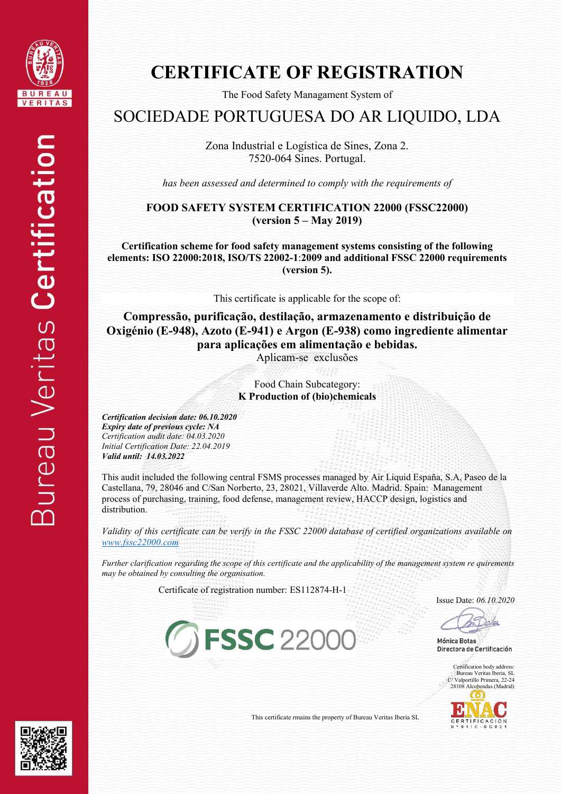

The Food Safety Managament System of

### SOCIEDADE PORTUGUESA DO AR LIQUIDO, LDA

Zona Industrial e Logística de Sines, Zona 2. 7520-064 Sines. Portugal.

*has been assessed and determined to comply with the requirements of* 

**FOOD SAFETY SYSTEM CERTIFICATION 22000 (FSSC22000) (version 5 – May 2019)** 

**Certification scheme for food safety management systems consisting of the following elements: ISO 22000:2018, ISO/TS 22002-1**:**2009 and additional FSSC 22000 requirements (version 5).**

This certificate is applicable for the scope of:

**Compressão, purificação, destilação, armazenamento e distribuição de Oxigénio (E-948), Azoto (E-941) e Argon (E-938) como ingrediente alimentar para aplicações em alimentação e bebidas.** 

Aplicam-se exclusões

Food Chain Subcategory: **K Production of (bio)chemicals** 

*Certification decision date: 06.10.2020 Expiry date of previous cycle: NA Certification audit date: 04.03.2020 Initial Certification Date: 22.04.2019 Valid until: 14.03.2022*

This audit included the following central FSMS processes managed by Air Liquid España, S.A, Paseo de la Castellana, 79, 28046 and C/San Norberto, 23, 28021, Villaverde Alto. Madrid. Spain: Management process of purchasing, training, food defense, management review, HACCP design, logistics and distribution.

*Validity of this certificate can be verify in the FSSC 22000 database of certified organizations available on [www.fssc22000.com](http://www.fssc22000.com/)* 

*Further clarification regarding the scope of this certificate and the applicability of the management system re quirements may be obtained by consulting the organisation.* 

Certificate of registration number: ES112874-H-1

**G FSSC 22000** 

Issue Date: *06.10.2020* 

Mónica Botas Directora de Certificación

Certification body address: Bureau Veritas Iberia, SL C/ Valportillo Primera, 22-24 28108 Alcobendas (Madrid)